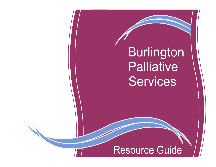Burlington Palliative Services

# Resource Guide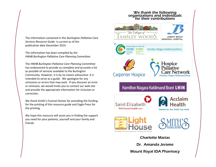### We thank the following organizations and individuals for their contributions



The information has been compiled by the *HNHB Burlington Palliative Care Planning Committee.*

The *HNHB Burlington Palliative Care Planning Committee* has endeavored to provide as complete *and accurate* a list as possible of services available to the Burlington Community. However, it is by no means exhaustive. It is intended to serve as a guide. We apologize for any omissions or errors that may exist. If you discover an error or omission, we would invite you to contact our web-site and provide the appropriate information for inclusion or correction.

We thank Smith's Funeral Homes for providing the funding for the printing of this resource guide and Eagle Press for the printing.

We hope this resource will assist you in finding the support you need for *your patients,* yourself and your family and friends.



Mount Royal IDA Pharmacy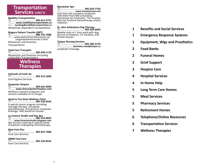## **Transportation Services CONT'D**

**Mobility Transportation** ………..………..……………. **<sup>905</sup> -617 -3737** ……. **www.mobilitytransportation.ca** ….. **booking@mobilitytransportation.ca** Wheelchair dependent transportation.

**Niagara Patient Transfer (NPT)** ………..………..……………. **888-731 -7008** ……www.patienttransferontario.ca/ niagarapatienttransfer1.html Wheelchair and Stretcher Transportation.

**Total Care Transport** ………..………..……………. **<sup>905</sup> -878 -1170** Wheelchair and Stretcher (including collapsible) Transportation.



**A Breath of Fresh Air** ………..………..……………. **<sup>905</sup> -512 -1840** Oral Hygiene Services

**Carpenter Hospice** ………..………..……………. **<sup>905</sup> -631 -9994** ……. **www.thecarpenterhospice.com** Wellness outreach programs and services available at no charge.

## **Head to Toe Oasis Wellness Clinic** ………..………..……………. **905-332-6542**

A special cancer program including massage therapy, chiropody, physiotherapy, chiropractor, lymphatic drainage. Fees based on income.

**La Couture Studio and Day Spa** ………..………..……………. **905-319 -0025** ……**www.lacouturestudio.blogspot.com** Spa services catering to special needs of patients undergoing chemotherapy.

**Neat Feet Plus** ………..………..……………. **<sup>905</sup> -847 -7686** Foot Care Services.

**OMNI Foot Care** ………..………..……………. **<sup>905</sup> -333 -8555** Foot Care Services.

**Rosewater Spa** ………..………..……………. **<sup>905</sup> -633 -7724** …………………... **www.rosewaterspa.com** One time salt -rub detox treatment with letter from MD consenting permission for treatment. \*For anyone who has finished chemotherapy and/or radiation.

## **St. John Ambulance Dog Therapy** ………..………..……………. **905-634-6665**

Weekly visits at 1 hour each with dog. Service to Hospices, LTC facilities, and Private Homes.

**Talspar Nursing Services** ………..………..……………. **<sup>905</sup> -385 -3176** …………….... **donnalue.reise@talspar.ca** Lymphatic Drainage.

- **1 Benefits and Social Services**
- **1 Emergency Response Systems**
- **1 Equipment, Wigs and Prosthetics**
- **2 Food Banks**
- **2 Funeral Homes**
- **2 Grief Support**
- **3 Hospice Care**
- **4 Hospital Services**
- **4 In-Home Help**
- **5 Long Term Care Homes**
- **5 Meal Services**
- **5 Pharmacy Services**
- **5 Retirement Homes**
- **6 Telephone/Online Resources**
- **6 Transportation Services**
- **7 Wellness Therapies**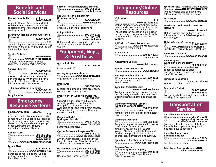## **Benefits and Social Services**

### **Compassionate Care Benefits**

………..…………………..…. **905-335-7622** Apply to Human Resources and Skill Development. Receive up to 6 weeks special benefits (following a 2 week waiting period).

### **LEAP (Low-Income Energy Assistance Program)**

| To help eligible customers with funding |  |
|-----------------------------------------|--|

towards hydro bills. Help is granted on an individual basis.

### **Service Ontario**

| <b>AMA</b>                        |
|-----------------------------------|
|                                   |
| To access OHIP, Driver's License  |
| changes, Handicap Parking Permit. |

**Survivor Benefits**

| JUIVIVUI DUIIUILJ |                                                                                                                                          |
|-------------------|------------------------------------------------------------------------------------------------------------------------------------------|
|                   | $\hat{\mathcal{C}}$ www.servicecanada.gc.ca                                                                                              |
|                   | CPP-Canada Pension Plan Health<br>Benefits plus survivor and children's<br>benefits. *Ask Funeral Home for<br>information and documents. |

### **Trillium and Ontario Benefits**

|  | <b><i></i> ∂        www.health.gov.on.ca</b> |
|--|----------------------------------------------|
|  |                                              |

Drug benefits.

## **Emergency Response Systems**

### **Emergency Medical Response**

………..………..……………………………. **911** 911 is for medical emergencies such as someone who is unconscious, gasping for air or not breathing, experiencing chest pain, fallen and cannot get up, or other symptoms that require immediate medical attention.

### **ConnectCare**

| ੈwww.connectcarehalton.ca |  |
|---------------------------|--|

### **Direct Alert**

| <sup></sup>                                                               |  |
|---------------------------------------------------------------------------|--|
| Purchase or rental options. Can be<br>ordered via online, telephone or at |  |
| local Pharmacies.                                                         |  |

**FirstCall Personal Response Systems** ………..………..……………. **800-361-5550** ………...…………**www.firstcallhelp.com**

### **Life Call Personal Emergency Response System**

| Purchase or rental options. Can be |
|------------------------------------|

ordered via online or telephone.

| Helping individuals live independently. |  |
|-----------------------------------------|--|

Subsidies available for those who qualify.

## **Equipment, Wigs, & Prosthesis**

### **Acorn Stairlifts**

………..………..……………. **888-228-3335** In home stair lifts.

### **Beauty Supply Warehouse**

………..…………..**www.bswbeauty.com** Wigs (synthetic and human hair).

### **Brant Arts**

………..………..……………. **905-637-5664** Medical equipment, breast prosthesis, ostomy, braces, compression.

### **Breast Cancer Support Services Inc.** ………..………..……………. **905-634-2333**

Support groups, library, education, serenity gardens, complimentary therapies and free wig service. Available to anyone with breast cancer. Wigs available to women with other cancers as well.

### **Canadian Red Cross - Burlington Branch**

| <b>Burlington Branch</b> |                          |
|--------------------------|--------------------------|
| ₩                        |                          |
|                          | www.redcross.ca          |
|                          | Local volunteer drivers. |

**Cancer Assistance Program (CAP)** ………..………..……………. **905-383-9797** ………………………**www.cancerassist.ca** Anyone with cancer is eligible for the loan of equipment. Must be picked up as there is no delivery service.

### **His and Her Wigs (and Hair Pieces)** ………..………..……………. **905-643-4839** ………..………..……………. **905-643-4514**

Hospital and Home Services.

## **Telephone/Online Resources**

### **211 Halton**

|  | ้∪ี www.211halton.ca |
|--|----------------------|

Online directory for community, social, health and government services in the Halton Region. Sorted by location. Individuals can access an online list of agencies and resources available in the community for palliative care and support.

### **A World of Dreams Foundation**

……………..…... **www.childrenswish.ca**  Website to refer a child.

### **ALS Society**

|  |  |  | <u>、</u> ……………………………… 800-267-425) |  |
|--|--|--|------------------------------------|--|
|  |  |  | www.als.ca                         |  |

### **Alzheimer's Society**

………………..………. **www.alzheimer.ca** 

### **Breast Cancer Foundation**

……………………………..…. **www.cbcf.org**

**Burlington Public Library** ………..………..……………. **905-639-3611** Reading resources and websites for any disease.

### **Canadian Virtual Hospice**

……………….…. **www.virtualhospice.ca** Topics include: Support for care givers and families, when death is near, considering death at home and other topics.

### **Cancer Information Services (Canadian Cancer Society)**

………..………..……………. **888-939-3333** Available to cancer patients, their families, the general public and health professionals.

### **Cancerchat Ontario**

………..………..……………. **800-663-3333** People caring for someone with cancer can connect with other similar circumstances in online support groups. Chats are facilitated by social workers and psychologists. Free of charge, confidential and anonymous.

### **Cure Search for Children's Cancer** …………………..... **www.curesearch.org**

### **Distress Centre - United Way Funded Agency**

………..………..……………. **905-849-4541** Befriending; Crisis Prevention and Crisis Intervention.

**HNHB Hospice Palliative Care Network** ………... **www.carpenterhospice.com**

Online hospice and palliative care Information for the Halton region.

**MS Society** ………………..………. **www.mssociety.ca**

**Mississauga Halton Palliative Care Network**

………………...………… **www.mhpcn.net**

Online hospice and palliative care Information for the Mississauga and Halton region.

### **Ontario Seniors Secretariat**

………..………..……………. **416-326-7076** ……. **www.citizenship.gov.on.ca/sdm**  Substitute Decision-Maker (SDM) card

### **Parkinson's Society**

………………..………. **www.parkinson.ca**

### **Peer Support**

**(Canadian Cancer Society)** ………..………..……………. **800-263-6750** Volunteers draw upon their own cancer experiences to offer encouragement, compassion and helpful information.

### **Sunshine Foundation**

……………..…………... **www.sunshine.ca**  Website to refer a child.

### **Telehealth Ontario**

| <b>AllA</b>                                                         |  |
|---------------------------------------------------------------------|--|
| <b>֎ՠՠՠՠՠՠՠՠՠՠՠՠՠՠ</b> 866-250-3379                                 |  |
| Free access to Registered Nurse 24 hrs<br>per day, 7 days per week. |  |

### **Transportation Services**

### **Canadian Cancer Society**

| www.ontario.cancer.ca                                                        |
|------------------------------------------------------------------------------|
| ⊠ oakville@ontario.cancer.ca                                                 |
| Transportation for cancer related care<br>for ambulatory patients, Bequire 3 |
|                                                                              |

for ambulatory patients. Require 3 business days to schedule.

### **Canadian Red Cross -**

|  | <b>Burlington Branch</b> |
|--|--------------------------|
|  |                          |

| Local volunteer drivers. |  |
|--------------------------|--|

### **Ministry of Transportation (MTO)** …………………. **www.serviceontario.ca**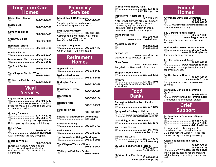## **Long Term Care Homes**

| <b>Bilings Court Manor</b>                          |  |
|-----------------------------------------------------|--|
| <b>Burloak LTC</b>                                  |  |
| <b>Cama Woodlands</b>                               |  |
| Creekway Village<br>图……………………………… 905-825-6000      |  |
| <b>Hampton Terrace</b><br>……………………………… 905-631-0700 |  |
|                                                     |  |
| <b>Mount Nemo Christian Nursing Home</b>            |  |
| <b>The Brant Centre</b>                             |  |

………..………..……………. **905-639-2848**

**The Village of Tansley Woods** ………..………..……………. **905-336-9904**

**Wellington Park Terrace** ………..………..……………. **905-637-3481**

### **Meal Services**

### **Copper Country Foods**

………..………..……………. **866-494-4333** ……..… **www.coppercountryfoods.ca** Prepared meals delivered to door with no minimum order.

### **Grocery Gateway**

| ·……………………………… 877-447-8778                     |
|------------------------------------------------|
|                                                |
| <sup><sup>0</sup>  www.grocerygateway.ca</sup> |
| Online grocery shopping and delivery.          |

### **Links 2 Care**

| Links 2 Care |                                          |
|--------------|------------------------------------------|
|              | <b>֎……………………………… 905-844-0252</b>        |
|              | <sup>一</sup> ……………………… www.links2care.ca |
|              | Assistance with grocery shopping.        |

### **Meals on Wheels**

………..………..……………. **905-637-5664**  Nutritious hot noon meals and/or frozen pre-packaged meals at a reasonable cost and delivered by volunteers.

## **Pharmacy Services**

**Mount Royal IDA Pharmacy** ………..………..……………. **905-332-8893** Supplies palliative medications to Carpenter Hospice and Crisis Kits. **Brant Arts Pharmacy**

………..………..……………. **905-637-3833** Compounding Pharmacy. Most mixes are not covered by Ontario Drug Benefit or Private Plans

**Shoppers Drug Mart** ………..………..……………. **905-632-4477** Open 24 hours. Delivery at 2PM.

## **Retirement Homes**

### **Appleby Place**  ………..………..……………. **905-333-1611 Bethany Residence** ………..………..……………. **905-335-3463 Burlington Gardens** ………..………..……………. **905-521-0888 Christopher Terrace**  ………..………..……………. **905-632-5072 Hearthstone** ………..………..……………. **905-333-9194 Heritage Place** ………..………..……………. **905-315-2580 Lakeshore Place** ………..………..……………. **905-333-0009 LaSalle Park Retirement Community**  ………..………..……………. **527-9300 Martha's Landing** ………..………..……………. **905-637-7757 Park Avenue** ………..………..……………. **905-333-3323 Sunrise Assisted Living of Burlington** ………..………..……………. **905-333-9969 The Village of Tansley Woods** ………..………..……………. **905-336-9904 Wellington Park Care Centre** ………..………..……………. **905-637-3481**

| In Your Home Hair by Julie |                                      |
|----------------------------|--------------------------------------|
|                            | <b>֎ՠՠՠՠՠՠՠՠՠՠՠՠՠՠՠՠՠՠՠՠՠՠՠՠՠՠՠՠ</b> |
|                            |                                      |

### **Inspirational Hearts Store**

………..………..……………. **877-753-5320** A store that provides practical support, such as breast prosthesis, bras and swimwear; wigs & headwear; literature; complimentary therapies; emotional & psycho-social support.

### **Mane Street Hair**

| 骊 |  |
|---|--|
|   |  |

### **Medical Image Wig**

| ▽……………………………… 866-388-9447 |              |
|----------------------------|--------------|
|                            | \05-338-2688 |

### **Sew on Fire**

…………..………... **www.sewonfire.com** Depot for used Medical Supplies.

### **Silver Cross**

…………..…………**www.silvercross.com** Recycled and New Health Equipment.

**Shoppers Home Health**

………..………..……………. **905-632-2312**

### **Wiggery**

………..………..……………. **905-631-0801** High quality designer wigs and hair extensions.

## **Food Banks**

**Burlington Salvation Army Family Services** ………..………..……………. **905-637-3893 Compassion Society of Halton** ………..………..……………. **905-592-3722** ………… **www.compassionsociety.net Glad Tidings Church Food Bank** ………..………..……………. **905-335-8172 Kerr Street Market** ………..………..……………. **905-845-7485** …………..………... **www.kerrstreet.com Partnership West** ………..………..……………. **905-637-2273** ……………. **www.partnershipwest.org St. Luke's Food for Life Program** ………..………..……………. **905-634-1826** …………..………….. **www.foodforlife.ca St. Vincent de Paul Society** ………..………..……………. **905-336-8332** …………..…….. **www.ssvphaltonpc.org**

## **Funeral Homes**

| <b>Affordable Burial and Cremation</b>                  |  |
|---------------------------------------------------------|--|
|                                                         |  |
|                                                         |  |
| $\overline{\oplus}$ www.affordableburialandcremation.ca |  |
| Cremation services only.                                |  |

| <b>Bay Gardens Funeral Home</b>                                        |  |
|------------------------------------------------------------------------|--|
| $\mathbb{R}$                                                           |  |
| The www.baygardens.ca<br>Complete funeral and bereavement<br>services. |  |

| Dodsworth & Brown Funeral Home |
|--------------------------------|
|                                |
| Complete funeral services.     |

### **Just Cremation and Burial**

| <sup> ⊕ www.justcremation.ca</sup>                           |
|--------------------------------------------------------------|
| Cremation and Chapel rental available<br>for small services. |

### **Smith's Funeral Homes**

| Complete funeral and bereavement<br>services. |  |
|-----------------------------------------------|--|

### **Tranquility Burial and Cremation Services**

| M™ | JLI VILLJ                                        |
|----|--------------------------------------------------|
|    | $\overline{\oplus}$ www.tranquilitycremation.com |
|    | <b>Cremation and Memorial Services.</b>          |

## **Grief Support**

| <b>Acclaim Health Community Support</b><br><b>Services</b>                                                 |  |
|------------------------------------------------------------------------------------------------------------|--|
|                                                                                                            |  |
|                                                                                                            |  |
| In home visits by Bereavement<br>Coordinator and trained Volunteers.<br>1:1 Bereavement Support, Resources |  |

**Access Counselling and Family Services**

Centre and Spousal Support Groups.

| -------                           |
|-----------------------------------|
|                                   |
| $\oplus$ www.accesscounselling.ca |

Individual counseling for children and adults. Family counselling available as well.